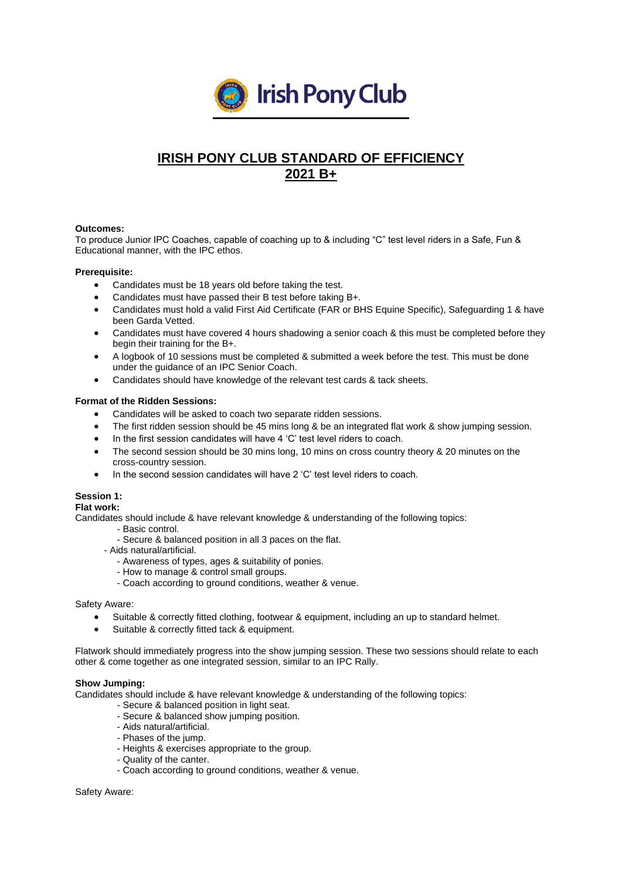

# **IRISH PONY CLUB STANDARD OF EFFICIENCY 2021 B+**

# **Outcomes:**

To produce Junior IPC Coaches, capable of coaching up to & including "C" test level riders in a Safe, Fun & Educational manner, with the IPC ethos.

# **Prerequisite:**

- Candidates must be 18 years old before taking the test.
- Candidates must have passed their B test before taking B+.
- Candidates must hold a valid First Aid Certificate (FAR or BHS Equine Specific), Safeguarding 1 & have been Garda Vetted.
- Candidates must have covered 4 hours shadowing a senior coach & this must be completed before they begin their training for the B+.
- A logbook of 10 sessions must be completed & submitted a week before the test. This must be done under the guidance of an IPC Senior Coach.
- Candidates should have knowledge of the relevant test cards & tack sheets.

# **Format of the Ridden Sessions:**

- Candidates will be asked to coach two separate ridden sessions.
- The first ridden session should be 45 mins long & be an integrated flat work & show jumping session.
- In the first session candidates will have 4 'C' test level riders to coach.
- The second session should be 30 mins long, 10 mins on cross country theory & 20 minutes on the cross-country session.
- In the second session candidates will have 2 'C' test level riders to coach.

# **Session 1:**

# **Flat work:**

Candidates should include & have relevant knowledge & understanding of the following topics:

- Basic control.
- Secure & balanced position in all 3 paces on the flat.
- Aids natural/artificial.
	- Awareness of types, ages & suitability of ponies.
	- How to manage & control small groups.
	- Coach according to ground conditions, weather & venue.

## Safety Aware:

- Suitable & correctly fitted clothing, footwear & equipment, including an up to standard helmet.
- Suitable & correctly fitted tack & equipment.

Flatwork should immediately progress into the show jumping session. These two sessions should relate to each other & come together as one integrated session, similar to an IPC Rally.

## **Show Jumping:**

Candidates should include & have relevant knowledge & understanding of the following topics:

- Secure & balanced position in light seat.
- Secure & balanced show jumping position.
- Aids natural/artificial.
- Phases of the jump.
- Heights & exercises appropriate to the group.
- Quality of the canter.
- Coach according to ground conditions, weather & venue.

#### Safety Aware: